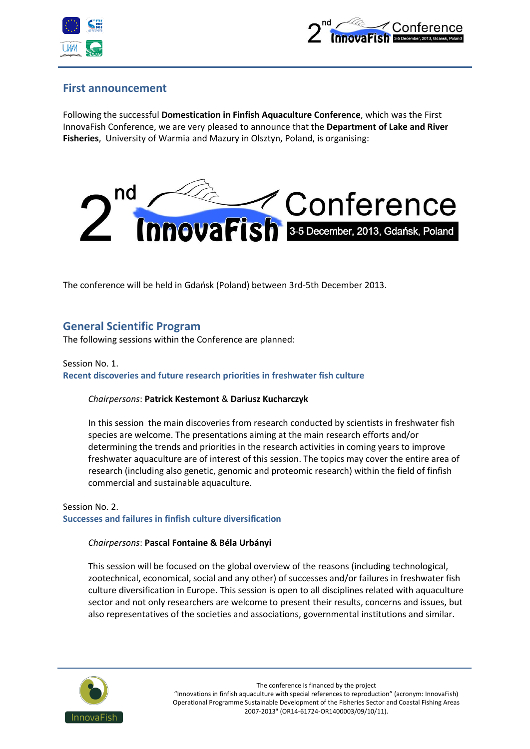



# **First announcement**

Following the successful **Domestication in Finfish Aquaculture Conference**, which was the First InnovaFish Conference, we are very pleased to announce that the **Department of Lake and River Fisheries**, University of Warmia and Mazury in Olsztyn, Poland, is organising:



The conference will be held in Gdańsk (Poland) between 3rd-5th December 2013.

# **General Scientific Program**

The following sessions within the Conference are planned:

# Session No. 1.

#### **Recent discoveries and future research priorities in freshwater fish culture**

### *Chairpersons*: **Patrick Kestemont** & **Dariusz Kucharczyk**

In this session the main discoveries from research conducted by scientists in freshwater fish species are welcome. The presentations aiming at the main research efforts and/or determining the trends and priorities in the research activities in coming years to improve freshwater aquaculture are of interest of this session. The topics may cover the entire area of research (including also genetic, genomic and proteomic research) within the field of finfish commercial and sustainable aquaculture.

# Session No. 2. **Successes and failures in finfish culture diversification**

## *Chairpersons*: **Pascal Fontaine & Béla Urbányi**

This session will be focused on the global overview of the reasons (including technological, zootechnical, economical, social and any other) of successes and/or failures in freshwater fish culture diversification in Europe. This session is open to all disciplines related with aquaculture sector and not only researchers are welcome to present their results, concerns and issues, but also representatives of the societies and associations, governmental institutions and similar.

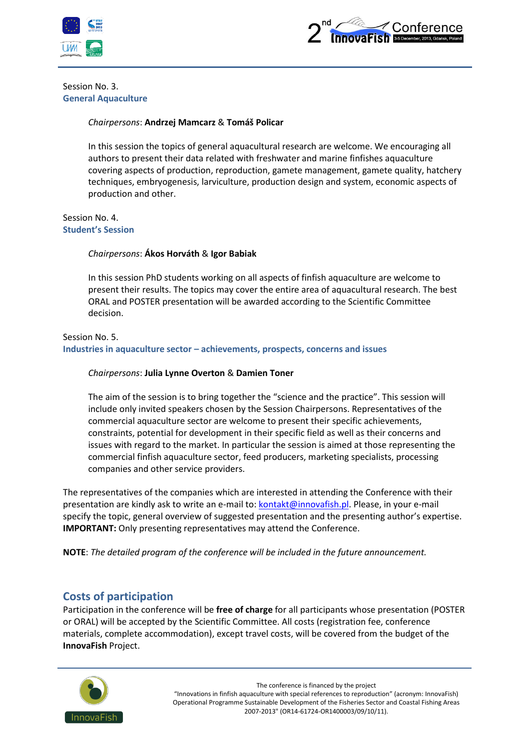



Session No. 3. **General Aquaculture**

## *Chairpersons*: **Andrzej Mamcarz** & **Tomáš Policar**

In this session the topics of general aquacultural research are welcome. We encouraging all authors to present their data related with freshwater and marine finfishes aquaculture covering aspects of production, reproduction, gamete management, gamete quality, hatchery techniques, embryogenesis, larviculture, production design and system, economic aspects of production and other.

Session No. 4. **Student's Session**

# *Chairpersons*: **Ákos Horváth** & **Igor Babiak**

In this session PhD students working on all aspects of finfish aquaculture are welcome to present their results. The topics may cover the entire area of aquacultural research. The best ORAL and POSTER presentation will be awarded according to the Scientific Committee decision.

#### Session No. 5. **Industries in aquaculture sector – achievements, prospects, concerns and issues**

# *Chairpersons*: **Julia Lynne Overton** & **Damien Toner**

The aim of the session is to bring together the "science and the practice". This session will include only invited speakers chosen by the Session Chairpersons. Representatives of the commercial aquaculture sector are welcome to present their specific achievements, constraints, potential for development in their specific field as well as their concerns and issues with regard to the market. In particular the session is aimed at those representing the commercial finfish aquaculture sector, feed producers, marketing specialists, processing companies and other service providers.

The representatives of the companies which are interested in attending the Conference with their presentation are kindly ask to write an e-mail to[: kontakt@innovafish.pl.](mailto:kontakt@innovafish.pl) Please, in your e-mail specify the topic, general overview of suggested presentation and the presenting author's expertise. **IMPORTANT:** Only presenting representatives may attend the Conference.

**NOTE**: *The detailed program of the conference will be included in the future announcement.*

# **Costs of participation**

Participation in the conference will be **free of charge** for all participants whose presentation (POSTER or ORAL) will be accepted by the Scientific Committee. All costs (registration fee, conference materials, complete accommodation), except travel costs, will be covered from the budget of the **InnovaFish** Project.



The conference is financed by the project "Innovations in finfish aquaculture with special references to reproduction" (acronym: InnovaFish) Operational Programme Sustainable Development of the Fisheries Sector and Coastal Fishing Areas 2007-2013" (OR14-61724-OR1400003/09/10/11).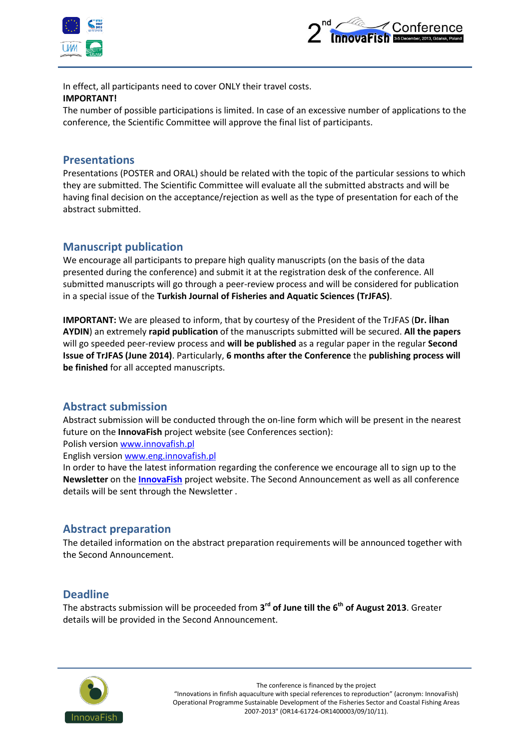



In effect, all participants need to cover ONLY their travel costs. **IMPORTANT!**

The number of possible participations is limited. In case of an excessive number of applications to the conference, the Scientific Committee will approve the final list of participants.

# **Presentations**

Presentations (POSTER and ORAL) should be related with the topic of the particular sessions to which they are submitted. The Scientific Committee will evaluate all the submitted abstracts and will be having final decision on the acceptance/rejection as well as the type of presentation for each of the abstract submitted.

# **Manuscript publication**

We encourage all participants to prepare high quality manuscripts (on the basis of the data presented during the conference) and submit it at the registration desk of the conference. All submitted manuscripts will go through a peer-review process and will be considered for publication in a special issue of the **Turkish Journal of Fisheries and Aquatic Sciences (TrJFAS)**.

**IMPORTANT:** We are pleased to inform, that by courtesy of the President of the TrJFAS (**Dr. İlhan AYDIN**) an extremely **rapid publication** of the manuscripts submitted will be secured. **All the papers** will go speeded peer-review process and **will be published** as a regular paper in the regular **Second Issue of TrJFAS (June 2014)**. Particularly, **6 months after the Conference** the **publishing process will be finished** for all accepted manuscripts.

# **Abstract submission**

Abstract submission will be conducted through the on-line form which will be present in the nearest future on the **InnovaFish** project website (see Conferences section):

Polish version [www.innovafish.pl](http://www.innovafish.pl/)

English version [www.eng.innovafish.pl](http://www.eng.innovafish.pl/)

In order to have the latest information regarding the conference we encourage all to sign up to the **Newsletter** on the **[InnovaFish](http://www.eng.innovafish.pl/page/show/id/2)** project website. The Second Announcement as well as all conference details will be sent through the Newsletter .

# **Abstract preparation**

The detailed information on the abstract preparation requirements will be announced together with the Second Announcement.

# **Deadline**

The abstracts submission will be proceeded from **3 rd of June till the 6 th of August 2013**. Greater details will be provided in the Second Announcement.